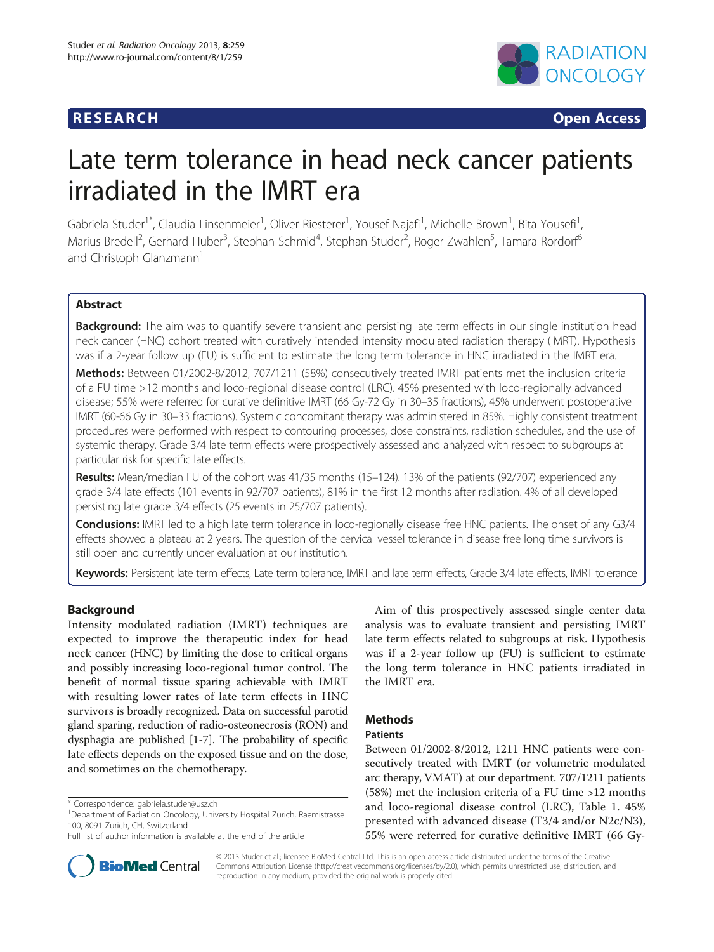# **RESEARCH RESEARCH CONSUMING ACCESS**



# Late term tolerance in head neck cancer patients irradiated in the IMRT era

Gabriela Studer<sup>1\*</sup>, Claudia Linsenmeier<sup>1</sup>, Oliver Riesterer<sup>1</sup>, Yousef Najafi<sup>1</sup>, Michelle Brown<sup>1</sup>, Bita Yousefi<sup>1</sup> , Marius Bredell<sup>2</sup>, Gerhard Huber<sup>3</sup>, Stephan Schmid<sup>4</sup>, Stephan Studer<sup>2</sup>, Roger Zwahlen<sup>5</sup>, Tamara Rordorf<sup>6</sup> and Christoph Glanzmann<sup>1</sup>

# Abstract

**Background:** The aim was to quantify severe transient and persisting late term effects in our single institution head neck cancer (HNC) cohort treated with curatively intended intensity modulated radiation therapy (IMRT). Hypothesis was if a 2-year follow up (FU) is sufficient to estimate the long term tolerance in HNC irradiated in the IMRT era.

Methods: Between 01/2002-8/2012, 707/1211 (58%) consecutively treated IMRT patients met the inclusion criteria of a FU time >12 months and loco-regional disease control (LRC). 45% presented with loco-regionally advanced disease; 55% were referred for curative definitive IMRT (66 Gy-72 Gy in 30–35 fractions), 45% underwent postoperative IMRT (60-66 Gy in 30–33 fractions). Systemic concomitant therapy was administered in 85%. Highly consistent treatment procedures were performed with respect to contouring processes, dose constraints, radiation schedules, and the use of systemic therapy. Grade 3/4 late term effects were prospectively assessed and analyzed with respect to subgroups at particular risk for specific late effects.

Results: Mean/median FU of the cohort was 41/35 months (15-124). 13% of the patients (92/707) experienced any grade 3/4 late effects (101 events in 92/707 patients), 81% in the first 12 months after radiation. 4% of all developed persisting late grade 3/4 effects (25 events in 25/707 patients).

Conclusions: IMRT led to a high late term tolerance in loco-regionally disease free HNC patients. The onset of any G3/4 effects showed a plateau at 2 years. The question of the cervical vessel tolerance in disease free long time survivors is still open and currently under evaluation at our institution.

Keywords: Persistent late term effects, Late term tolerance, IMRT and late term effects, Grade 3/4 late effects, IMRT tolerance

# Background

Intensity modulated radiation (IMRT) techniques are expected to improve the therapeutic index for head neck cancer (HNC) by limiting the dose to critical organs and possibly increasing loco-regional tumor control. The benefit of normal tissue sparing achievable with IMRT with resulting lower rates of late term effects in HNC survivors is broadly recognized. Data on successful parotid gland sparing, reduction of radio-osteonecrosis (RON) and dysphagia are published [\[1-7](#page-8-0)]. The probability of specific late effects depends on the exposed tissue and on the dose, and sometimes on the chemotherapy.

was if a 2-year follow up (FU) is sufficient to estimate the long term tolerance in HNC patients irradiated in the IMRT era.

Aim of this prospectively assessed single center data analysis was to evaluate transient and persisting IMRT late term effects related to subgroups at risk. Hypothesis

# Methods

# Patients

Between 01/2002-8/2012, 1211 HNC patients were consecutively treated with IMRT (or volumetric modulated arc therapy, VMAT) at our department. 707/1211 patients (58%) met the inclusion criteria of a FU time >12 months and loco-regional disease control (LRC), Table [1](#page-1-0). 45% presented with advanced disease (T3/4 and/or N2c/N3), 55% were referred for curative definitive IMRT (66 Gy-

Full list of author information is available at the end of the article



© 2013 Studer et al.; licensee BioMed Central Ltd. This is an open access article distributed under the terms of the Creative Commons Attribution License [\(http://creativecommons.org/licenses/by/2.0\)](http://creativecommons.org/licenses/by/2.0), which permits unrestricted use, distribution, and reproduction in any medium, provided the original work is properly cited.

<sup>\*</sup> Correspondence: [gabriela.studer@usz.ch](mailto:gabriela.studer@usz.ch) <sup>1</sup>

<sup>&</sup>lt;sup>1</sup>Department of Radiation Oncology, University Hospital Zurich, Raemistrasse 100, 8091 Zurich, CH, Switzerland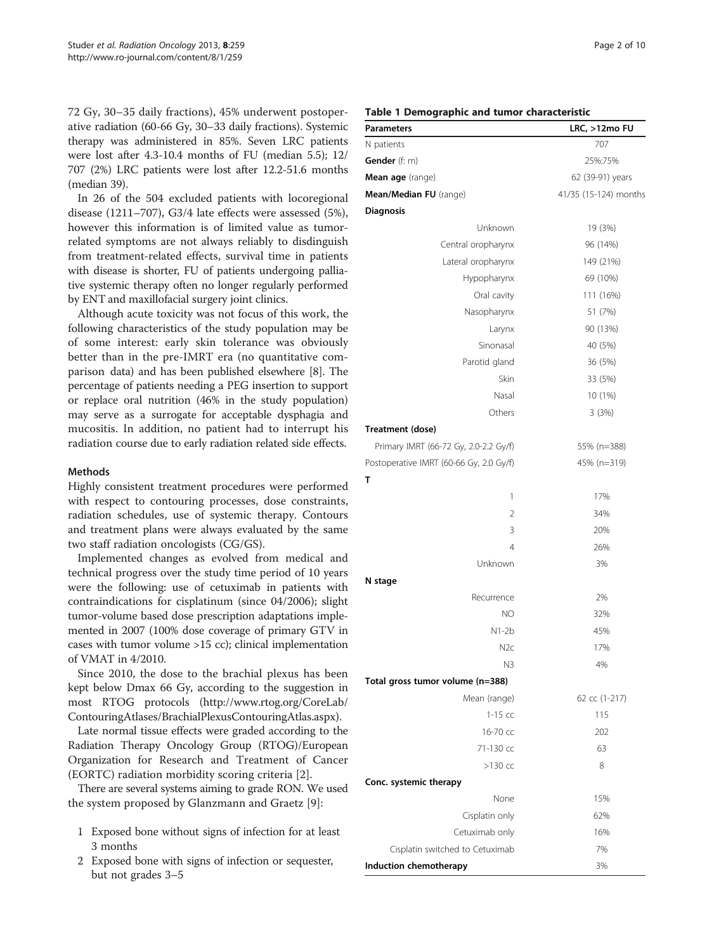<span id="page-1-0"></span>72 Gy, 30–35 daily fractions), 45% underwent postoperative radiation (60-66 Gy, 30–33 daily fractions). Systemic therapy was administered in 85%. Seven LRC patients were lost after 4.3-10.4 months of FU (median 5.5); 12/ 707 (2%) LRC patients were lost after 12.2-51.6 months (median 39).

In 26 of the 504 excluded patients with locoregional disease (1211–707), G3/4 late effects were assessed (5%), however this information is of limited value as tumorrelated symptoms are not always reliably to disdinguish from treatment-related effects, survival time in patients with disease is shorter, FU of patients undergoing palliative systemic therapy often no longer regularly performed by ENT and maxillofacial surgery joint clinics.

Although acute toxicity was not focus of this work, the following characteristics of the study population may be of some interest: early skin tolerance was obviously better than in the pre-IMRT era (no quantitative comparison data) and has been published elsewhere [\[8\]](#page-8-0). The percentage of patients needing a PEG insertion to support or replace oral nutrition (46% in the study population) may serve as a surrogate for acceptable dysphagia and mucositis. In addition, no patient had to interrupt his radiation course due to early radiation related side effects.

## Methods

Highly consistent treatment procedures were performed with respect to contouring processes, dose constraints, radiation schedules, use of systemic therapy. Contours and treatment plans were always evaluated by the same two staff radiation oncologists (CG/GS).

Implemented changes as evolved from medical and technical progress over the study time period of 10 years were the following: use of cetuximab in patients with contraindications for cisplatinum (since 04/2006); slight tumor-volume based dose prescription adaptations implemented in 2007 (100% dose coverage of primary GTV in cases with tumor volume >15 cc); clinical implementation of VMAT in 4/2010.

Since 2010, the dose to the brachial plexus has been kept below Dmax 66 Gy, according to the suggestion in most RTOG protocols ([http://www.rtog.org/CoreLab/](http://www.rtog.org/CoreLab/ContouringAtlases/BrachialPlexusContouringAtlas.aspx) [ContouringAtlases/BrachialPlexusContouringAtlas.aspx\)](http://www.rtog.org/CoreLab/ContouringAtlases/BrachialPlexusContouringAtlas.aspx).

Late normal tissue effects were graded according to the Radiation Therapy Oncology Group (RTOG)/European Organization for Research and Treatment of Cancer (EORTC) radiation morbidity scoring criteria [\[2](#page-8-0)].

There are several systems aiming to grade RON. We used the system proposed by Glanzmann and Graetz [\[9](#page-8-0)]:

- 1 Exposed bone without signs of infection for at least 3 months
- 2 Exposed bone with signs of infection or sequester, but not grades 3–5

| <b>Parameters</b>                       | LRC, >12mo FU         |
|-----------------------------------------|-----------------------|
| N patients                              | 707                   |
| Gender (f: m)                           | 25%:75%               |
| Mean age (range)                        | 62 (39-91) years      |
| Mean/Median FU (range)                  | 41/35 (15-124) months |
| <b>Diagnosis</b>                        |                       |
| Unknown                                 | 19 (3%)               |
| Central oropharynx                      | 96 (14%)              |
| Lateral oropharynx                      | 149 (21%)             |
| Hypopharynx                             | 69 (10%)              |
| Oral cavity                             | 111 (16%)             |
| Nasopharynx                             | 51 (7%)               |
| Larynx                                  | 90 (13%)              |
| Sinonasal                               | 40 (5%)               |
| Parotid gland                           | 36 (5%)               |
| Skin                                    | 33 (5%)               |
| Nasal                                   | 10 (1%)               |
| Others                                  | 3(3%)                 |
| Treatment (dose)                        |                       |
| Primary IMRT (66-72 Gy, 2.0-2.2 Gy/f)   | 55% (n=388)           |
| Postoperative IMRT (60-66 Gy, 2.0 Gy/f) | 45% (n=319)           |
| т                                       |                       |
| 1                                       | 17%                   |
| 2                                       | 34%                   |
| 3                                       | 20%                   |
| $\overline{4}$                          | 26%                   |
| Unknown                                 | 3%                    |
| N stage                                 |                       |
| Recurrence                              | 2%                    |
| NO                                      | 32%                   |
| N1-2b                                   | 45%                   |
| N2c                                     | 17%                   |
| N3                                      | 4%                    |
| Total gross tumor volume (n=388)        |                       |
| Mean (range)                            | 62 cc (1-217)         |
| $1-15$ cc                               | 115                   |
| 16-70 cc                                | 202                   |
| 71-130 cc                               | 63                    |
| $>130$ cc                               | 8                     |
| Conc. systemic therapy                  |                       |
| None                                    | 15%                   |
| Cisplatin only                          | 62%                   |
| Cetuximab only                          | 16%                   |
| Cisplatin switched to Cetuximab         | 7%                    |
| Induction chemotherapy                  | 3%                    |

# Table 1 Demographic and tumor characteristic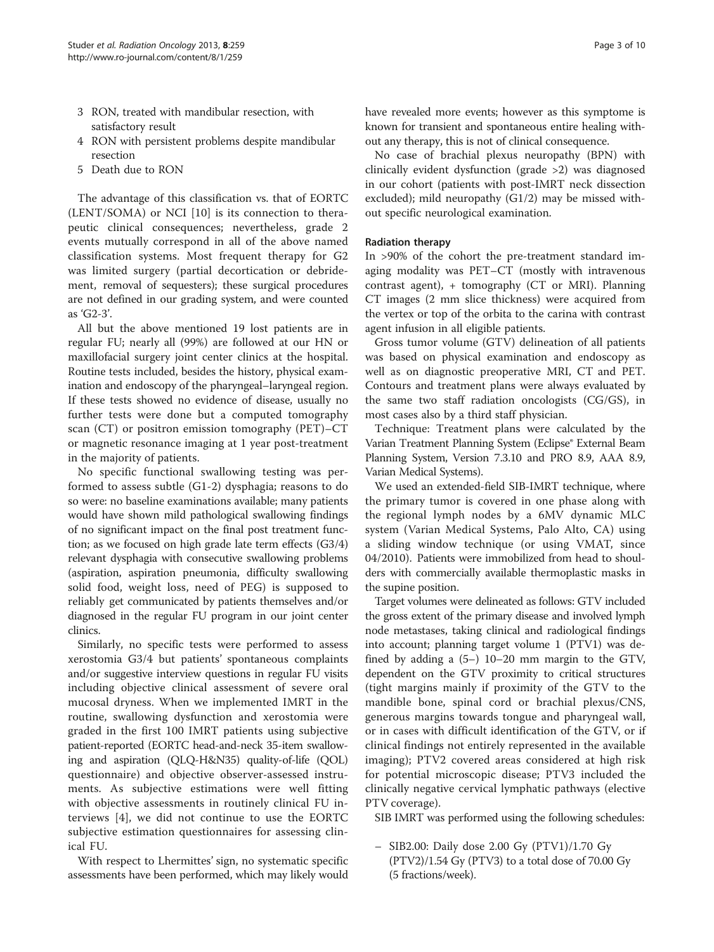- 3 RON, treated with mandibular resection, with satisfactory result
- 4 RON with persistent problems despite mandibular resection
- 5 Death due to RON

The advantage of this classification vs. that of EORTC (LENT/SOMA) or NCI [[10\]](#page-8-0) is its connection to therapeutic clinical consequences; nevertheless, grade 2 events mutually correspond in all of the above named classification systems. Most frequent therapy for G2 was limited surgery (partial decortication or debridement, removal of sequesters); these surgical procedures are not defined in our grading system, and were counted as 'G2-3'.

All but the above mentioned 19 lost patients are in regular FU; nearly all (99%) are followed at our HN or maxillofacial surgery joint center clinics at the hospital. Routine tests included, besides the history, physical examination and endoscopy of the pharyngeal–laryngeal region. If these tests showed no evidence of disease, usually no further tests were done but a computed tomography scan (CT) or positron emission tomography (PET)–CT or magnetic resonance imaging at 1 year post-treatment in the majority of patients.

No specific functional swallowing testing was performed to assess subtle (G1-2) dysphagia; reasons to do so were: no baseline examinations available; many patients would have shown mild pathological swallowing findings of no significant impact on the final post treatment function; as we focused on high grade late term effects (G3/4) relevant dysphagia with consecutive swallowing problems (aspiration, aspiration pneumonia, difficulty swallowing solid food, weight loss, need of PEG) is supposed to reliably get communicated by patients themselves and/or diagnosed in the regular FU program in our joint center clinics.

Similarly, no specific tests were performed to assess xerostomia G3/4 but patients' spontaneous complaints and/or suggestive interview questions in regular FU visits including objective clinical assessment of severe oral mucosal dryness. When we implemented IMRT in the routine, swallowing dysfunction and xerostomia were graded in the first 100 IMRT patients using subjective patient-reported (EORTC head-and-neck 35-item swallowing and aspiration (QLQ-H&N35) quality-of-life (QOL) questionnaire) and objective observer-assessed instruments. As subjective estimations were well fitting with objective assessments in routinely clinical FU interviews [\[4](#page-8-0)], we did not continue to use the EORTC subjective estimation questionnaires for assessing clinical FU.

With respect to Lhermittes' sign, no systematic specific assessments have been performed, which may likely would have revealed more events; however as this symptome is known for transient and spontaneous entire healing without any therapy, this is not of clinical consequence.

No case of brachial plexus neuropathy (BPN) with clinically evident dysfunction (grade >2) was diagnosed in our cohort (patients with post-IMRT neck dissection excluded); mild neuropathy (G1/2) may be missed without specific neurological examination.

# Radiation therapy

In >90% of the cohort the pre-treatment standard imaging modality was PET–CT (mostly with intravenous contrast agent), + tomography (CT or MRI). Planning CT images (2 mm slice thickness) were acquired from the vertex or top of the orbita to the carina with contrast agent infusion in all eligible patients.

Gross tumor volume (GTV) delineation of all patients was based on physical examination and endoscopy as well as on diagnostic preoperative MRI, CT and PET. Contours and treatment plans were always evaluated by the same two staff radiation oncologists (CG/GS), in most cases also by a third staff physician.

Technique: Treatment plans were calculated by the Varian Treatment Planning System (Eclipse® External Beam Planning System, Version 7.3.10 and PRO 8.9, AAA 8.9, Varian Medical Systems).

We used an extended-field SIB-IMRT technique, where the primary tumor is covered in one phase along with the regional lymph nodes by a 6MV dynamic MLC system (Varian Medical Systems, Palo Alto, CA) using a sliding window technique (or using VMAT, since 04/2010). Patients were immobilized from head to shoulders with commercially available thermoplastic masks in the supine position.

Target volumes were delineated as follows: GTV included the gross extent of the primary disease and involved lymph node metastases, taking clinical and radiological findings into account; planning target volume 1 (PTV1) was defined by adding a (5–) 10–20 mm margin to the GTV, dependent on the GTV proximity to critical structures (tight margins mainly if proximity of the GTV to the mandible bone, spinal cord or brachial plexus/CNS, generous margins towards tongue and pharyngeal wall, or in cases with difficult identification of the GTV, or if clinical findings not entirely represented in the available imaging); PTV2 covered areas considered at high risk for potential microscopic disease; PTV3 included the clinically negative cervical lymphatic pathways (elective PTV coverage).

SIB IMRT was performed using the following schedules:

– SIB2.00: Daily dose 2.00 Gy (PTV1)/1.70 Gy  $(PTV2)/1.54$  Gy  $(PTV3)$  to a total dose of 70.00 Gy (5 fractions/week).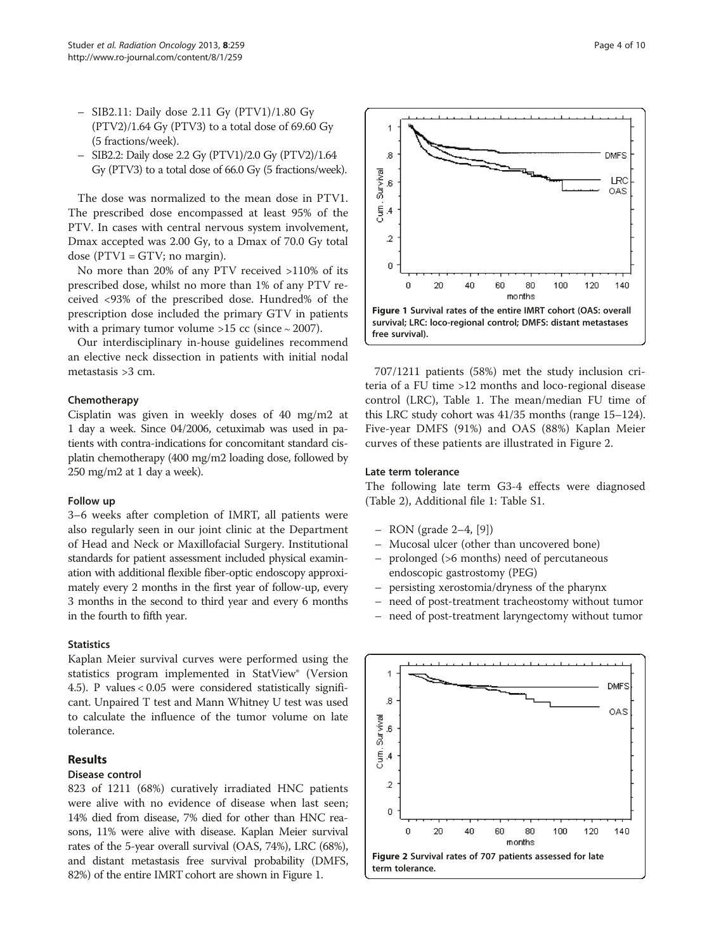- SIB2.11: Daily dose 2.11 Gy (PTV1)/1.80 Gy  $(PTV2)/1.64$  Gy  $(PTV3)$  to a total dose of 69.60 Gy (5 fractions/week).
- SIB2.2: Daily dose 2.2 Gy (PTV1)/2.0 Gy (PTV2)/1.64 Gy (PTV3) to a total dose of 66.0 Gy (5 fractions/week).

The dose was normalized to the mean dose in PTV1. The prescribed dose encompassed at least 95% of the PTV. In cases with central nervous system involvement, Dmax accepted was 2.00 Gy, to a Dmax of 70.0 Gy total dose ( $PTV1 = GTV$ ; no margin).

No more than 20% of any PTV received >110% of its prescribed dose, whilst no more than 1% of any PTV received <93% of the prescribed dose. Hundred% of the prescription dose included the primary GTV in patients with a primary tumor volume >15 cc (since ∼ 2007).

Our interdisciplinary in-house guidelines recommend an elective neck dissection in patients with initial nodal metastasis >3 cm.

# Chemotherapy

Cisplatin was given in weekly doses of 40 mg/m2 at 1 day a week. Since 04/2006, cetuximab was used in patients with contra-indications for concomitant standard cisplatin chemotherapy (400 mg/m2 loading dose, followed by 250 mg/m2 at 1 day a week).

#### Follow up

3–6 weeks after completion of IMRT, all patients were also regularly seen in our joint clinic at the Department of Head and Neck or Maxillofacial Surgery. Institutional standards for patient assessment included physical examination with additional flexible fiber-optic endoscopy approximately every 2 months in the first year of follow-up, every 3 months in the second to third year and every 6 months in the fourth to fifth year.

# **Statistics**

Kaplan Meier survival curves were performed using the statistics program implemented in StatView® (Version 4.5). P values < 0.05 were considered statistically significant. Unpaired T test and Mann Whitney U test was used to calculate the influence of the tumor volume on late tolerance.

## Results

#### Disease control

823 of 1211 (68%) curatively irradiated HNC patients were alive with no evidence of disease when last seen; 14% died from disease, 7% died for other than HNC reasons, 11% were alive with disease. Kaplan Meier survival rates of the 5-year overall survival (OAS, 74%), LRC (68%), and distant metastasis free survival probability (DMFS, 82%) of the entire IMRT cohort are shown in Figure 1.



707/1211 patients (58%) met the study inclusion criteria of a FU time >12 months and loco-regional disease control (LRC), Table [1.](#page-1-0) The mean/median FU time of this LRC study cohort was 41/35 months (range 15–124). Five-year DMFS (91%) and OAS (88%) Kaplan Meier curves of these patients are illustrated in Figure 2.

#### Late term tolerance

The following late term G3-4 effects were diagnosed (Table [2\)](#page-4-0), Additional file [1](#page-8-0): Table S1.

- RON (grade 2–4, [[9](#page-8-0)])
- Mucosal ulcer (other than uncovered bone)
- prolonged (>6 months) need of percutaneous endoscopic gastrostomy (PEG)
- persisting xerostomia/dryness of the pharynx
- need of post-treatment tracheostomy without tumor
- need of post-treatment laryngectomy without tumor

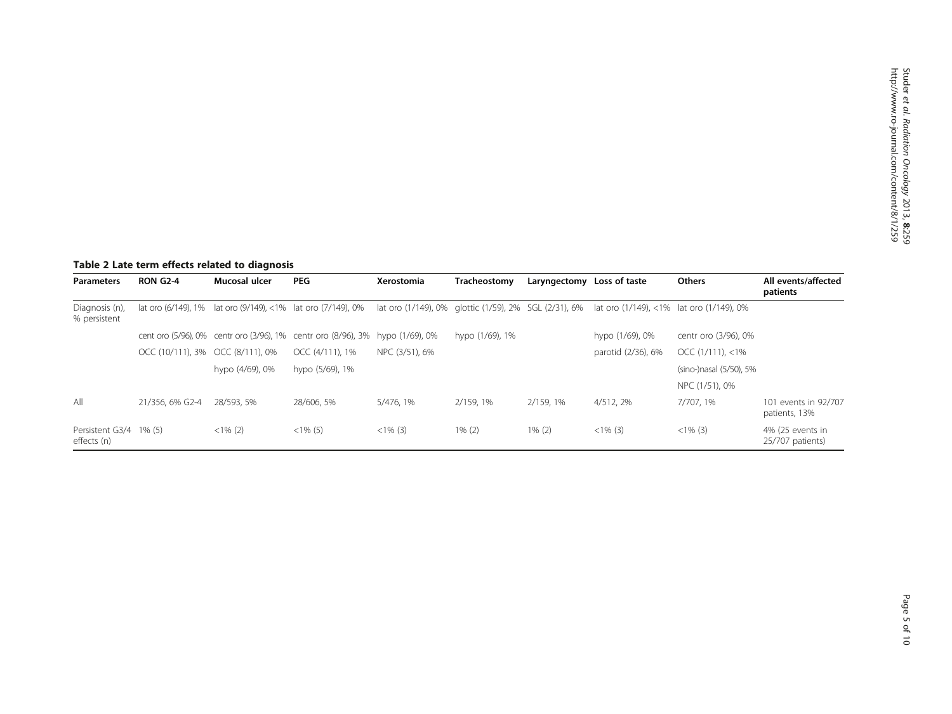# <span id="page-4-0"></span>Table 2 Late term effects related to diagnosis

| <b>Parameters</b>              | <b>RON G2-4</b>                  | Mucosal ulcer   | <b>PEG</b>                                                                                                                              | Xerostomia     | Tracheostomy    | Laryngectomy Loss of taste |                    | <b>Others</b>           | All events/affected<br>patients       |
|--------------------------------|----------------------------------|-----------------|-----------------------------------------------------------------------------------------------------------------------------------------|----------------|-----------------|----------------------------|--------------------|-------------------------|---------------------------------------|
| Diagnosis (n),<br>% persistent | lat oro (6/149), 1%              |                 | lat oro (9/149), <1% lat oro (7/149), 0% lat oro (1/149), 0% glottic (1/59), 2% SGL (2/31), 6% lat oro (1/149), <1% lat oro (1/149), 0% |                |                 |                            |                    |                         |                                       |
|                                |                                  |                 | cent oro (5/96), 0% centr oro (3/96), 1% centr oro (8/96), 3% hypo (1/69), 0%                                                           |                | hypo (1/69), 1% |                            | hypo (1/69), 0%    | centr oro (3/96), 0%    |                                       |
|                                | OCC (10/111), 3% OCC (8/111), 0% |                 | OCC (4/111), 1%                                                                                                                         | NPC (3/51), 6% |                 |                            | parotid (2/36), 6% | $OCC$ (1/111), <1%      |                                       |
|                                |                                  | hypo (4/69), 0% | hypo (5/69), 1%                                                                                                                         |                |                 |                            |                    | (sino-)nasal (5/50), 5% |                                       |
|                                |                                  |                 |                                                                                                                                         |                |                 |                            |                    | NPC (1/51), 0%          |                                       |
| All                            | 21/356, 6% G2-4                  | 28/593, 5%      | 28/606, 5%                                                                                                                              | 5/476.1%       | 2/159.1%        | 2/159, 1%                  | 4/512.2%           | 7/707.1%                | 101 events in 92/707<br>patients, 13% |
| Persistent G3/4<br>effects (n) | $1\%$ (5)                        | $<1\%$ (2)      | $<1\%$ (5)                                                                                                                              | $<1\%$ (3)     | $1\%$ (2)       | $1\% (2)$                  | $<1\%$ (3)         | $<1\%$ (3)              | 4% (25 events in<br>25/707 patients)  |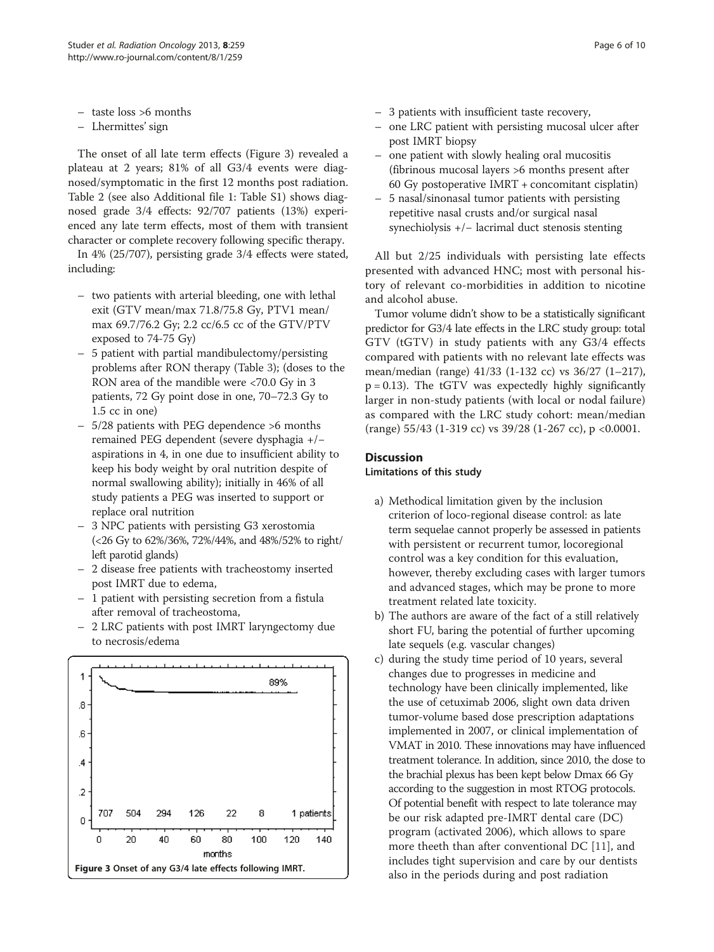- <span id="page-5-0"></span>– taste loss >6 months
- Lhermittes' sign

The onset of all late term effects (Figure 3) revealed a plateau at 2 years; 81% of all G3/4 events were diagnosed/symptomatic in the first 12 months post radiation. Table [2](#page-4-0) (see also Additional file [1](#page-8-0): Table S1) shows diagnosed grade 3/4 effects: 92/707 patients (13%) experienced any late term effects, most of them with transient character or complete recovery following specific therapy.

In 4% (25/707), persisting grade 3/4 effects were stated, including:

- two patients with arterial bleeding, one with lethal exit (GTV mean/max 71.8/75.8 Gy, PTV1 mean/ max 69.7/76.2 Gy; 2.2 cc/6.5 cc of the GTV/PTV exposed to 74-75 Gy)
- 5 patient with partial mandibulectomy/persisting problems after RON therapy (Table [3\)](#page-6-0); (doses to the RON area of the mandible were <70.0 Gy in 3 patients, 72 Gy point dose in one, 70–72.3 Gy to 1.5 cc in one)
- 5/28 patients with PEG dependence >6 months remained PEG dependent (severe dysphagia +/− aspirations in 4, in one due to insufficient ability to keep his body weight by oral nutrition despite of normal swallowing ability); initially in 46% of all study patients a PEG was inserted to support or replace oral nutrition
- 3 NPC patients with persisting G3 xerostomia (<26 Gy to 62%/36%, 72%/44%, and 48%/52% to right/ left parotid glands)
- 2 disease free patients with tracheostomy inserted post IMRT due to edema,
- 1 patient with persisting secretion from a fistula after removal of tracheostoma,
- 2 LRC patients with post IMRT laryngectomy due to necrosis/edema



- one LRC patient with persisting mucosal ulcer after post IMRT biopsy
- one patient with slowly healing oral mucositis (fibrinous mucosal layers >6 months present after 60 Gy postoperative IMRT + concomitant cisplatin)
- 5 nasal/sinonasal tumor patients with persisting repetitive nasal crusts and/or surgical nasal synechiolysis +/− lacrimal duct stenosis stenting

All but 2/25 individuals with persisting late effects presented with advanced HNC; most with personal history of relevant co-morbidities in addition to nicotine and alcohol abuse.

Tumor volume didn't show to be a statistically significant predictor for G3/4 late effects in the LRC study group: total GTV (tGTV) in study patients with any G3/4 effects compared with patients with no relevant late effects was mean/median (range) 41/33 (1-132 cc) vs 36/27 (1–217),  $p = 0.13$ ). The tGTV was expectedly highly significantly larger in non-study patients (with local or nodal failure) as compared with the LRC study cohort: mean/median (range) 55/43 (1-319 cc) vs 39/28 (1-267 cc), p <0.0001.

# Discussion

# Limitations of this study

- a) Methodical limitation given by the inclusion criterion of loco-regional disease control: as late term sequelae cannot properly be assessed in patients with persistent or recurrent tumor, locoregional control was a key condition for this evaluation, however, thereby excluding cases with larger tumors and advanced stages, which may be prone to more treatment related late toxicity.
- b) The authors are aware of the fact of a still relatively short FU, baring the potential of further upcoming late sequels (e.g. vascular changes)
- c) during the study time period of 10 years, several changes due to progresses in medicine and technology have been clinically implemented, like the use of cetuximab 2006, slight own data driven tumor-volume based dose prescription adaptations implemented in 2007, or clinical implementation of VMAT in 2010. These innovations may have influenced treatment tolerance. In addition, since 2010, the dose to the brachial plexus has been kept below Dmax 66 Gy according to the suggestion in most RTOG protocols. Of potential benefit with respect to late tolerance may be our risk adapted pre-IMRT dental care (DC) program (activated 2006), which allows to spare more theeth than after conventional DC [[11](#page-8-0)], and includes tight supervision and care by our dentists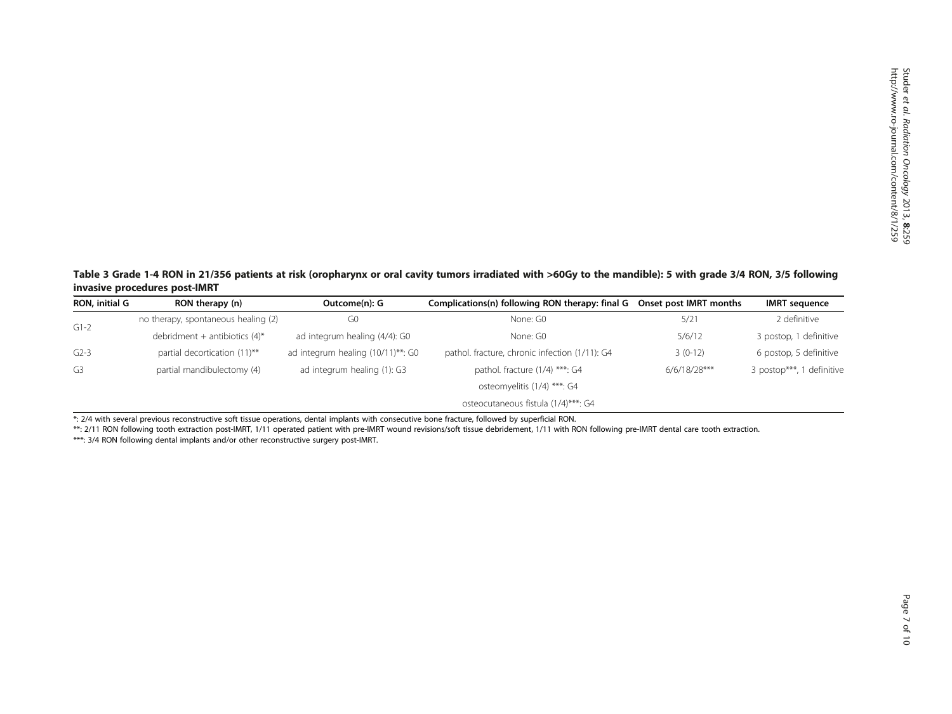<span id="page-6-0"></span>Table 3 Grade 1-4 RON in 21/356 patients at risk (oropharynx or oral cavity tumors irradiated with >60Gy to the mandible): 5 with grade 3/4 RON, 3/5 following invasive procedures post-IMRT

| RON, initial G | RON therapy (n)                     | Outcome(n): G                       | Complications(n) following RON therapy: final G Onset post IMRT months |                | IMRT sequence             |  |  |
|----------------|-------------------------------------|-------------------------------------|------------------------------------------------------------------------|----------------|---------------------------|--|--|
| $G1-2$         | no therapy, spontaneous healing (2) | G <sub>0</sub>                      | None: G0                                                               | 5/21           | 2 definitive              |  |  |
|                | debridment + antibiotics $(4)^*$    | ad integrum healing (4/4): G0       | None: G0                                                               | 5/6/12         | 3 postop, 1 definitive    |  |  |
| $G2-3$         | partial decortication (11)**        | ad integrum healing (10/11)**: G0   | pathol. fracture, chronic infection (1/11): G4                         | $3(0-12)$      | 6 postop, 5 definitive    |  |  |
| G3             | partial mandibulectomy (4)          | ad integrum healing (1): G3         | pathol. fracture $(1/4)$ ***: G4                                       | $6/6/18/28***$ | 3 postop***, 1 definitive |  |  |
|                |                                     |                                     | osteomyelitis (1/4) ***: G4                                            |                |                           |  |  |
|                |                                     | osteocutaneous fistula (1/4)***: G4 |                                                                        |                |                           |  |  |

\*: 2/4 with several previous reconstructive soft tissue operations, dental implants with consecutive bone fracture, followed by superficial RON.

\*\*: 2/11 RON following tooth extraction post-IMRT, 1/11 operated patient with pre-IMRT wound revisions/soft tissue debridement, 1/11 with RON following pre-IMRT dental care tooth extraction.

\*\*\*: 3/4 RON following dental implants and/or other reconstructive surgery post-IMRT.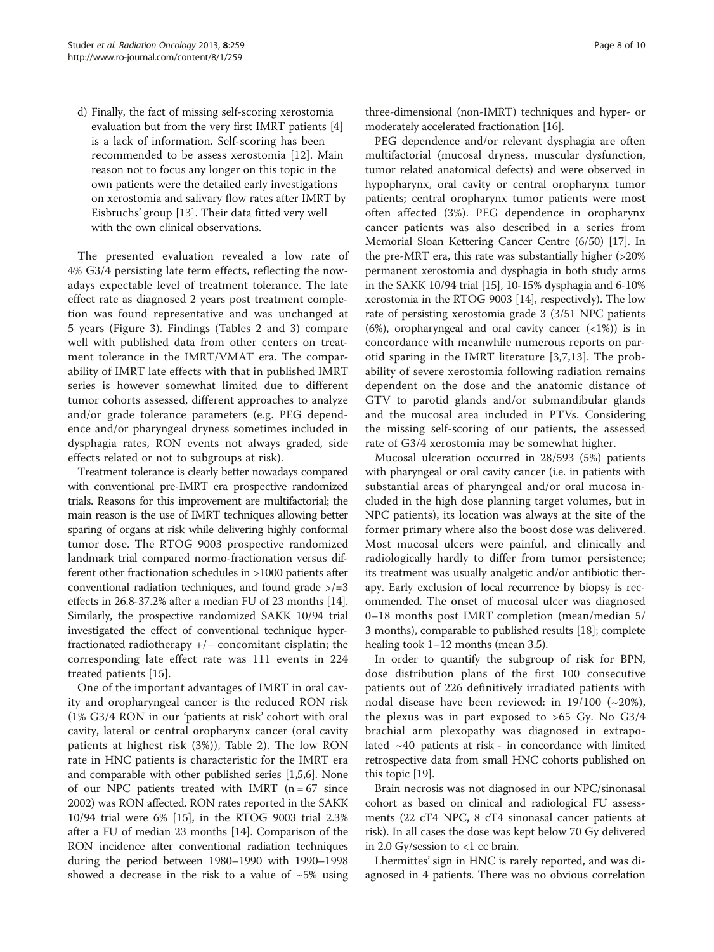d) Finally, the fact of missing self-scoring xerostomia evaluation but from the very first IMRT patients [[4](#page-8-0)] is a lack of information. Self-scoring has been recommended to be assess xerostomia [[12\]](#page-8-0). Main reason not to focus any longer on this topic in the own patients were the detailed early investigations on xerostomia and salivary flow rates after IMRT by Eisbruchs' group [[13\]](#page-8-0). Their data fitted very well with the own clinical observations.

The presented evaluation revealed a low rate of 4% G3/4 persisting late term effects, reflecting the nowadays expectable level of treatment tolerance. The late effect rate as diagnosed 2 years post treatment completion was found representative and was unchanged at 5 years (Figure [3](#page-5-0)). Findings (Tables [2](#page-4-0) and [3](#page-6-0)) compare well with published data from other centers on treatment tolerance in the IMRT/VMAT era. The comparability of IMRT late effects with that in published IMRT series is however somewhat limited due to different tumor cohorts assessed, different approaches to analyze and/or grade tolerance parameters (e.g. PEG dependence and/or pharyngeal dryness sometimes included in dysphagia rates, RON events not always graded, side effects related or not to subgroups at risk).

Treatment tolerance is clearly better nowadays compared with conventional pre-IMRT era prospective randomized trials. Reasons for this improvement are multifactorial; the main reason is the use of IMRT techniques allowing better sparing of organs at risk while delivering highly conformal tumor dose. The RTOG 9003 prospective randomized landmark trial compared normo-fractionation versus different other fractionation schedules in >1000 patients after conventional radiation techniques, and found grade  $\ge$ /=3 effects in 26.8-37.2% after a median FU of 23 months [[14](#page-8-0)]. Similarly, the prospective randomized SAKK 10/94 trial investigated the effect of conventional technique hyperfractionated radiotherapy +/− concomitant cisplatin; the corresponding late effect rate was 111 events in 224 treated patients [\[15](#page-8-0)].

One of the important advantages of IMRT in oral cavity and oropharyngeal cancer is the reduced RON risk (1% G3/4 RON in our 'patients at risk' cohort with oral cavity, lateral or central oropharynx cancer (oral cavity patients at highest risk (3%)), Table [2\)](#page-4-0). The low RON rate in HNC patients is characteristic for the IMRT era and comparable with other published series [\[1,5,6\]](#page-8-0). None of our NPC patients treated with IMRT  $(n = 67)$  since 2002) was RON affected. RON rates reported in the SAKK 10/94 trial were 6% [\[15\]](#page-8-0), in the RTOG 9003 trial 2.3% after a FU of median 23 months [[14](#page-8-0)]. Comparison of the RON incidence after conventional radiation techniques during the period between 1980–1990 with 1990–1998 showed a decrease in the risk to a value of  $~5\%$  using

three-dimensional (non-IMRT) techniques and hyper- or moderately accelerated fractionation [[16](#page-8-0)].

PEG dependence and/or relevant dysphagia are often multifactorial (mucosal dryness, muscular dysfunction, tumor related anatomical defects) and were observed in hypopharynx, oral cavity or central oropharynx tumor patients; central oropharynx tumor patients were most often affected (3%). PEG dependence in oropharynx cancer patients was also described in a series from Memorial Sloan Kettering Cancer Centre (6/50) [\[17\]](#page-8-0). In the pre-MRT era, this rate was substantially higher (>20% permanent xerostomia and dysphagia in both study arms in the SAKK 10/94 trial [[15\]](#page-8-0), 10-15% dysphagia and 6-10% xerostomia in the RTOG 9003 [\[14\]](#page-8-0), respectively). The low rate of persisting xerostomia grade 3 (3/51 NPC patients (6%), oropharyngeal and oral cavity cancer  $(\langle 1\% \rangle)$  is in concordance with meanwhile numerous reports on parotid sparing in the IMRT literature [[3,7,13](#page-8-0)]. The probability of severe xerostomia following radiation remains dependent on the dose and the anatomic distance of GTV to parotid glands and/or submandibular glands and the mucosal area included in PTVs. Considering the missing self-scoring of our patients, the assessed rate of G3/4 xerostomia may be somewhat higher.

Mucosal ulceration occurred in 28/593 (5%) patients with pharyngeal or oral cavity cancer (i.e. in patients with substantial areas of pharyngeal and/or oral mucosa included in the high dose planning target volumes, but in NPC patients), its location was always at the site of the former primary where also the boost dose was delivered. Most mucosal ulcers were painful, and clinically and radiologically hardly to differ from tumor persistence; its treatment was usually analgetic and/or antibiotic therapy. Early exclusion of local recurrence by biopsy is recommended. The onset of mucosal ulcer was diagnosed 0–18 months post IMRT completion (mean/median 5/ 3 months), comparable to published results [\[18\]](#page-8-0); complete healing took 1–12 months (mean 3.5).

In order to quantify the subgroup of risk for BPN, dose distribution plans of the first 100 consecutive patients out of 226 definitively irradiated patients with nodal disease have been reviewed: in  $19/100$  ( $\sim$ 20%), the plexus was in part exposed to  $>65$  Gy. No G3/4 brachial arm plexopathy was diagnosed in extrapolated  $~140$  patients at risk - in concordance with limited retrospective data from small HNC cohorts published on this topic [[19](#page-8-0)].

Brain necrosis was not diagnosed in our NPC/sinonasal cohort as based on clinical and radiological FU assessments (22 cT4 NPC, 8 cT4 sinonasal cancer patients at risk). In all cases the dose was kept below 70 Gy delivered in 2.0 Gy/session to <1 cc brain.

Lhermittes' sign in HNC is rarely reported, and was diagnosed in 4 patients. There was no obvious correlation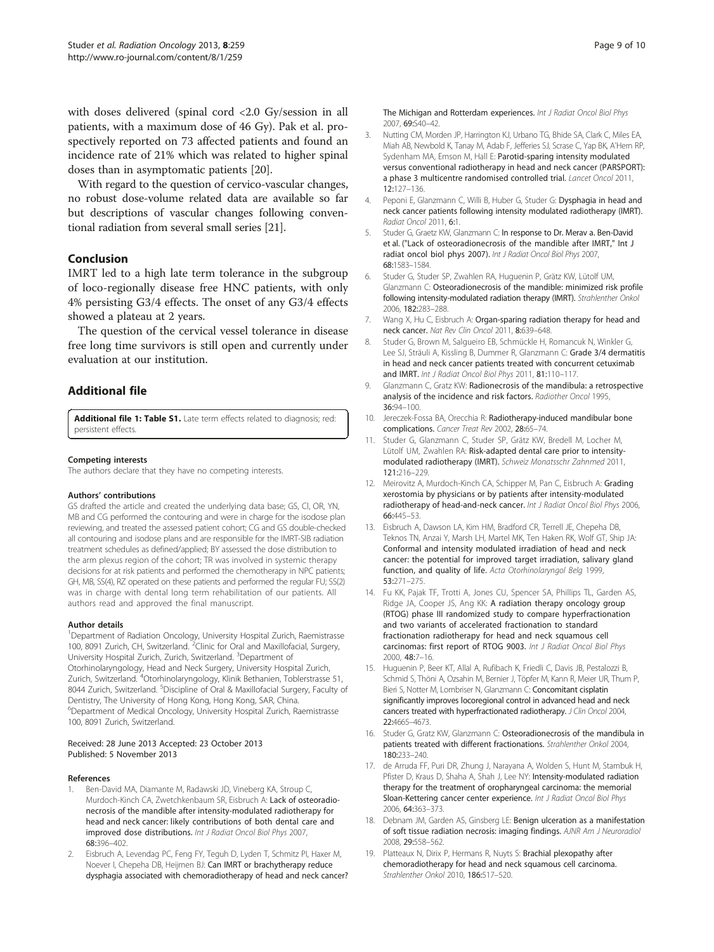<span id="page-8-0"></span>with doses delivered (spinal cord <2.0 Gy/session in all patients, with a maximum dose of 46 Gy). Pak et al. prospectively reported on 73 affected patients and found an incidence rate of 21% which was related to higher spinal doses than in asymptomatic patients [\[20](#page-9-0)].

With regard to the question of cervico-vascular changes, no robust dose-volume related data are available so far but descriptions of vascular changes following conventional radiation from several small series [[21](#page-9-0)].

# Conclusion

IMRT led to a high late term tolerance in the subgroup of loco-regionally disease free HNC patients, with only 4% persisting G3/4 effects. The onset of any G3/4 effects showed a plateau at 2 years.

The question of the cervical vessel tolerance in disease free long time survivors is still open and currently under evaluation at our institution.

# Additional file

[Additional file 1: Table S1.](http://www.biomedcentral.com/content/supplementary/1748-717X-8-259-S1.docx) Late term effects related to diagnosis; red: persistent effects.

#### Competing interests

The authors declare that they have no competing interests.

#### Authors' contributions

GS drafted the article and created the underlying data base; GS, Cl, OR, YN, MB and CG performed the contouring and were in charge for the isodose plan reviewing, and treated the assessed patient cohort; CG and GS double-checked all contouring and isodose plans and are responsible for the IMRT-SIB radiation treatment schedules as defined/applied; BY assessed the dose distribution to the arm plexus region of the cohort; TR was involved in systemic therapy decisions for at risk patients and performed the chemotherapy in NPC patients; GH, MB, SS(4), RZ operated on these patients and performed the regular FU; SS(2) was in charge with dental long term rehabilitation of our patients. All authors read and approved the final manuscript.

#### Author details

<sup>1</sup>Department of Radiation Oncology, University Hospital Zurich, Raemistrasse 100, 8091 Zurich, CH, Switzerland.<sup>2</sup> Clinic for Oral and Maxillofacial, Surgery, University Hospital Zurich, Zurich, Switzerland. <sup>3</sup>Department of Otorhinolaryngology, Head and Neck Surgery, University Hospital Zurich, Zurich, Switzerland. <sup>4</sup>Otorhinolaryngology, Klinik Bethanien, Toblerstrasse 51, 8044 Zurich, Switzerland. <sup>5</sup>Discipline of Oral & Maxillofacial Surgery, Faculty of Dentistry, The University of Hong Kong, Hong Kong, SAR, China. 6 Department of Medical Oncology, University Hospital Zurich, Raemistrasse 100, 8091 Zurich, Switzerland.

#### Received: 28 June 2013 Accepted: 23 October 2013 Published: 5 November 2013

#### References

- 1. Ben-David MA, Diamante M, Radawski JD, Vineberg KA, Stroup C, Murdoch-Kinch CA, Zwetchkenbaum SR, Eisbruch A: Lack of osteoradionecrosis of the mandible after intensity-modulated radiotherapy for head and neck cancer: likely contributions of both dental care and improved dose distributions. Int J Radiat Oncol Biol Phys 2007, 68:396–402.
- 2. Eisbruch A, Levendag PC, Feng FY, Teguh D, Lyden T, Schmitz PI, Haxer M, Noever I, Chepeha DB, Heijmen BJ: Can IMRT or brachytherapy reduce dysphagia associated with chemoradiotherapy of head and neck cancer?
- 3. Nutting CM, Morden JP, Harrington KJ, Urbano TG, Bhide SA, Clark C, Miles EA, Miah AB, Newbold K, Tanay M, Adab F, Jefferies SJ, Scrase C, Yap BK, A'Hern RP, Sydenham MA, Emson M, Hall E: Parotid-sparing intensity modulated versus conventional radiotherapy in head and neck cancer (PARSPORT): a phase 3 multicentre randomised controlled trial. Lancet Oncol 2011, 12:127–136.
- 4. Peponi E, Glanzmann C, Willi B, Huber G, Studer G: Dysphagia in head and neck cancer patients following intensity modulated radiotherapy (IMRT). Radiat Oncol 2011, 6:1.
- 5. Studer G, Graetz KW, Glanzmann C: In response to Dr. Merav a. Ben-David et al. ("Lack of osteoradionecrosis of the mandible after IMRT," Int J radiat oncol biol phys 2007). Int J Radiat Oncol Biol Phys 2007, 68:1583–1584.
- 6. Studer G, Studer SP, Zwahlen RA, Huguenin P, Grätz KW, Lütolf UM, Glanzmann C: Osteoradionecrosis of the mandible: minimized risk profile following intensity-modulated radiation therapy (IMRT). Strahlenther Onkol 2006, 182:283–288.
- 7. Wang X, Hu C, Eisbruch A: Organ-sparing radiation therapy for head and neck cancer. Nat Rev Clin Oncol 2011, 8:639–648.
- 8. Studer G, Brown M, Salgueiro EB, Schmückle H, Romancuk N, Winkler G, Lee SJ, Sträuli A, Kissling B, Dummer R, Glanzmann C: Grade 3/4 dermatitis in head and neck cancer patients treated with concurrent cetuximab and IMRT. Int J Radiat Oncol Biol Phys 2011, 81:110–117.
- 9. Glanzmann C, Gratz KW: Radionecrosis of the mandibula: a retrospective analysis of the incidence and risk factors. Radiother Oncol 1995, 36:94–100.
- 10. Jereczek-Fossa BA, Orecchia R: Radiotherapy-induced mandibular bone complications. Cancer Treat Rev 2002, 28:65–74.
- 11. Studer G, Glanzmann C, Studer SP, Grätz KW, Bredell M, Locher M, Lütolf UM, Zwahlen RA: Risk-adapted dental care prior to intensitymodulated radiotherapy (IMRT). Schweiz Monatsschr Zahnmed 2011, 121:216–229.
- 12. Meirovitz A, Murdoch-Kinch CA, Schipper M, Pan C, Eisbruch A: Grading xerostomia by physicians or by patients after intensity-modulated radiotherapy of head-and-neck cancer. Int J Radiat Oncol Biol Phys 2006, 66:445–53.
- 13. Eisbruch A, Dawson LA, Kim HM, Bradford CR, Terrell JE, Chepeha DB, Teknos TN, Anzai Y, Marsh LH, Martel MK, Ten Haken RK, Wolf GT, Ship JA: Conformal and intensity modulated irradiation of head and neck cancer: the potential for improved target irradiation, salivary gland function, and quality of life. Acta Otorhinolaryngol Belg 1999, 53:271–275.
- 14. Fu KK, Pajak TF, Trotti A, Jones CU, Spencer SA, Phillips TL, Garden AS, Ridge JA, Cooper JS, Ang KK: A radiation therapy oncology group (RTOG) phase III randomized study to compare hyperfractionation and two variants of accelerated fractionation to standard fractionation radiotherapy for head and neck squamous cell carcinomas: first report of RTOG 9003. Int J Radiat Oncol Biol Phys 2000, 48:7–16.
- 15. Huguenin P, Beer KT, Allal A, Rufibach K, Friedli C, Davis JB, Pestalozzi B, Schmid S, Thöni A, Ozsahin M, Bernier J, Töpfer M, Kann R, Meier UR, Thum P, Bieri S, Notter M, Lombriser N, Glanzmann C: Concomitant cisplatin significantly improves locoregional control in advanced head and neck cancers treated with hyperfractionated radiotherapy. J Clin Oncol 2004, 22:4665–4673.
- 16. Studer G, Gratz KW, Glanzmann C: Osteoradionecrosis of the mandibula in patients treated with different fractionations. Strahlenther Onkol 2004, 180:233–240.
- 17. de Arruda FF, Puri DR, Zhung J, Narayana A, Wolden S, Hunt M, Stambuk H, Pfister D, Kraus D, Shaha A, Shah J, Lee NY: Intensity-modulated radiation therapy for the treatment of oropharyngeal carcinoma: the memorial Sloan-Kettering cancer center experience. Int J Radiat Oncol Biol Phys 2006, 64:363–373.
- 18. Debnam JM, Garden AS, Ginsberg LE: Benign ulceration as a manifestation of soft tissue radiation necrosis: imaging findings. AJNR Am J Neuroradiol 2008, 29:558–562.
- 19. Platteaux N, Dirix P, Hermans R, Nuyts S: Brachial plexopathy after chemoradiotherapy for head and neck squamous cell carcinoma. Strahlenther Onkol 2010, 186:517–520.